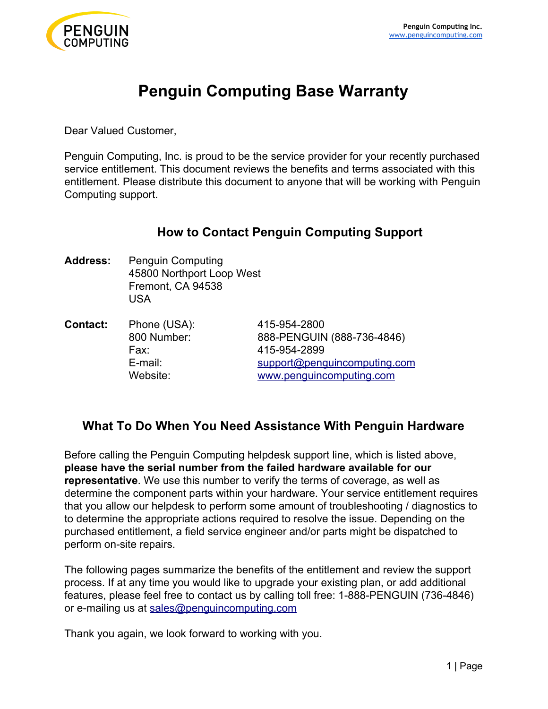

# **Penguin Computing Base Warranty**

Dear Valued Customer,

Penguin Computing, Inc. is proud to be the service provider for your recently purchased service entitlement. This document reviews the benefits and terms associated with this entitlement. Please distribute this document to anyone that will be working with Penguin Computing support.

# **How to Contact Penguin Computing Support**

**Address:** Penguin Computing 45800 Northport Loop West Fremont, CA 94538 USA

**Contact:** Phone (USA): 415-954-2800 800 Number: 888-PENGUIN (888-736-4846) Fax: 415-954-2899 E-mail: support@penguincomputing.co[m](mailto:support@penguincomputing.com) Website: [www.penguincomputing.com](http://www.penguincomputing.com/)

# **What To Do When You Need Assistance With Penguin Hardware**

Before calling the Penguin Computing helpdesk support line, which is listed above, **please have the serial number from the failed hardware available for our representative**. We use this number to verify the terms of coverage, as well as determine the component parts within your hardware. Your service entitlement requires that you allow our helpdesk to perform some amount of troubleshooting / diagnostics to to determine the appropriate actions required to resolve the issue. Depending on the purchased entitlement, a field service engineer and/or parts might be dispatched to perform on-site repairs.

The following pages summarize the benefits of the entitlement and review the support process. If at any time you would like to upgrade your existing plan, or add additional features, please feel free to contact us by calling toll free: 1-888-PENGUIN (736-4846) or e-mailing us at [sales@penguincomputing.com](mailto:sales@penguincomputing.com)

[T](mailto:sales@penguincomputing.com)hank you again, we look forward to working with you.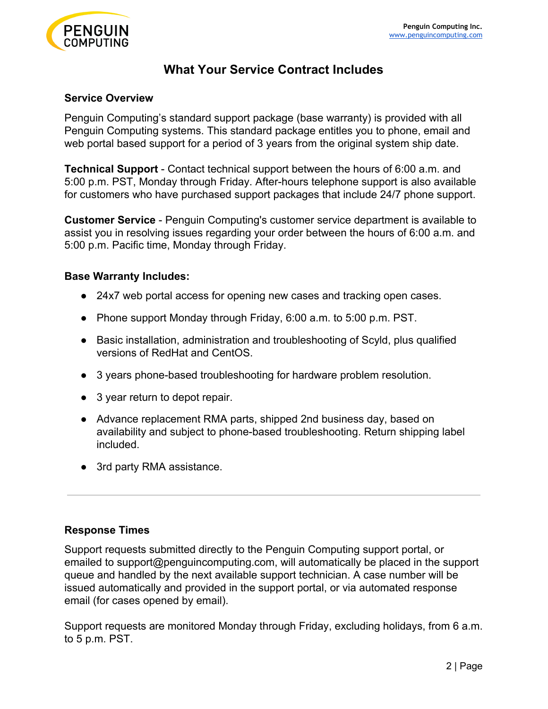

# **What Your Service Contract Includes**

#### **Service Overview**

Penguin Computing's standard support package (base warranty) is provided with all Penguin Computing systems. This standard package entitles you to phone, email and web portal based support for a period of 3 years from the original system ship date.

**Technical Support** - Contact technical support between the hours of 6:00 a.m. and 5:00 p.m. PST, Monday through Friday. After-hours telephone support is also available for customers who have purchased support packages that include 24/7 phone support.

**Customer Service** - Penguin Computing's customer service department is available to assist you in resolving issues regarding your order between the hours of 6:00 a.m. and 5:00 p.m. Pacific time, Monday through Friday.

#### **Base Warranty Includes:**

- 24x7 web portal access for opening new cases and tracking open cases.
- Phone support Monday through Friday, 6:00 a.m. to 5:00 p.m. PST.
- Basic installation, administration and troubleshooting of Scyld, plus qualified versions of RedHat and CentOS.
- 3 years phone-based troubleshooting for hardware problem resolution.
- 3 year return to depot repair.
- Advance replacement RMA parts, shipped 2nd business day, based on availability and subject to phone-based troubleshooting. Return shipping label included.
- 3rd party RMA assistance.

# **Response Times**

Support requests submitted directly to the Penguin Computing support portal, or emailed to support@penguincomputing.com, will automatically be placed in the support queue and handled by the next available support technician. A case number will be issued automatically and provided in the support portal, or via automated response email (for cases opened by email).

Support requests are monitored Monday through Friday, excluding holidays, from 6 a.m. to 5 p.m. PST.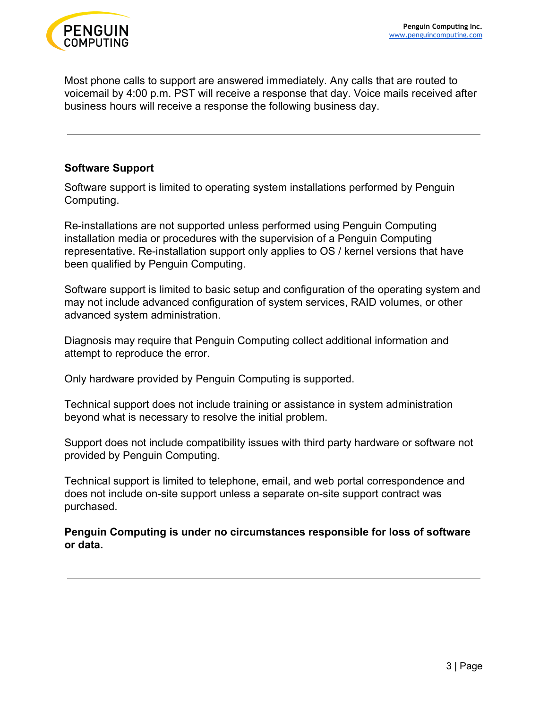

Most phone calls to support are answered immediately. Any calls that are routed to voicemail by 4:00 p.m. PST will receive a response that day. Voice mails received after business hours will receive a response the following business day.

#### **Software Support**

Software support is limited to operating system installations performed by Penguin Computing.

Re-installations are not supported unless performed using Penguin Computing installation media or procedures with the supervision of a Penguin Computing representative. Re-installation support only applies to OS / kernel versions that have been qualified by Penguin Computing.

Software support is limited to basic setup and configuration of the operating system and may not include advanced configuration of system services, RAID volumes, or other advanced system administration.

Diagnosis may require that Penguin Computing collect additional information and attempt to reproduce the error.

Only hardware provided by Penguin Computing is supported.

Technical support does not include training or assistance in system administration beyond what is necessary to resolve the initial problem.

Support does not include compatibility issues with third party hardware or software not provided by Penguin Computing.

Technical support is limited to telephone, email, and web portal correspondence and does not include on-site support unless a separate on-site support contract was purchased.

**Penguin Computing is under no circumstances responsible for loss of software or data.**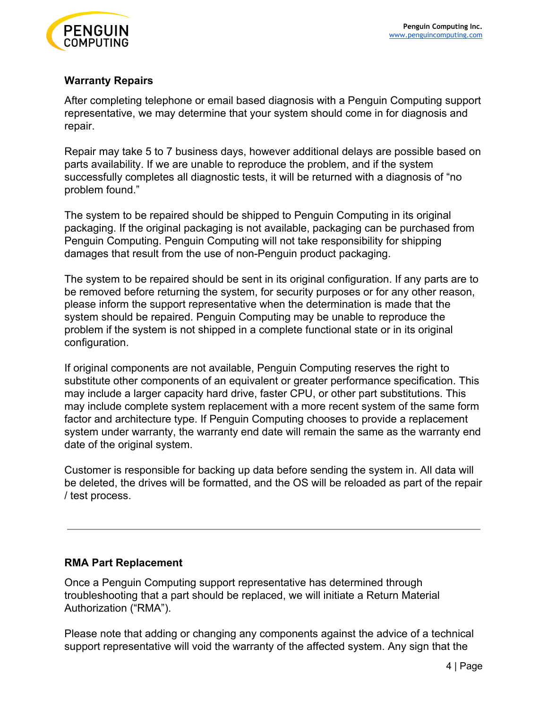

# **Warranty Repairs**

After completing telephone or email based diagnosis with a Penguin Computing support representative, we may determine that your system should come in for diagnosis and repair.

Repair may take 5 to 7 business days, however additional delays are possible based on parts availability. If we are unable to reproduce the problem, and if the system successfully completes all diagnostic tests, it will be returned with a diagnosis of "no problem found."

The system to be repaired should be shipped to Penguin Computing in its original packaging. If the original packaging is not available, packaging can be purchased from Penguin Computing. Penguin Computing will not take responsibility for shipping damages that result from the use of non-Penguin product packaging.

The system to be repaired should be sent in its original configuration. If any parts are to be removed before returning the system, for security purposes or for any other reason, please inform the support representative when the determination is made that the system should be repaired. Penguin Computing may be unable to reproduce the problem if the system is not shipped in a complete functional state or in its original configuration.

If original components are not available, Penguin Computing reserves the right to substitute other components of an equivalent or greater performance specification. This may include a larger capacity hard drive, faster CPU, or other part substitutions. This may include complete system replacement with a more recent system of the same form factor and architecture type. If Penguin Computing chooses to provide a replacement system under warranty, the warranty end date will remain the same as the warranty end date of the original system.

Customer is responsible for backing up data before sending the system in. All data will be deleted, the drives will be formatted, and the OS will be reloaded as part of the repair / test process.

# **RMA Part Replacement**

Once a Penguin Computing support representative has determined through troubleshooting that a part should be replaced, we will initiate a Return Material Authorization ("RMA").

Please note that adding or changing any components against the advice of a technical support representative will void the warranty of the affected system. Any sign that the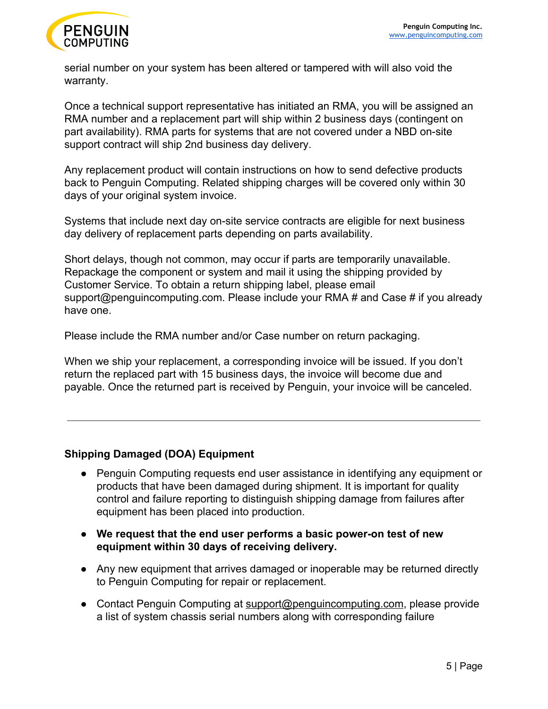

serial number on your system has been altered or tampered with will also void the warranty.

Once a technical support representative has initiated an RMA, you will be assigned an RMA number and a replacement part will ship within 2 business days (contingent on part availability). RMA parts for systems that are not covered under a NBD on-site support contract will ship 2nd business day delivery.

Any replacement product will contain instructions on how to send defective products back to Penguin Computing. Related shipping charges will be covered only within 30 days of your original system invoice.

Systems that include next day on-site service contracts are eligible for next business day delivery of replacement parts depending on parts availability.

Short delays, though not common, may occur if parts are temporarily unavailable. Repackage the component or system and mail it using the shipping provided by Customer Service. To obtain a return shipping label, please email support@penguincomputing.com. Please include your RMA # and Case # if you already have one.

Please include the RMA number and/or Case number on return packaging.

When we ship your replacement, a corresponding invoice will be issued. If you don't return the replaced part with 15 business days, the invoice will become due and payable. Once the returned part is received by Penguin, your invoice will be canceled.

# **Shipping Damaged (DOA) Equipment**

- Penguin Computing requests end user assistance in identifying any equipment or products that have been damaged during shipment. It is important for quality control and failure reporting to distinguish shipping damage from failures after equipment has been placed into production.
- **● We request that the end user performs a basic power-on test of new equipment within 30 days of receiving delivery.**
- Any new equipment that arrives damaged or inoperable may be returned directly to Penguin Computing for repair or replacement.
- Contact Penguin Computing at [support@penguincomputing.com](mailto:support-japan@penguincomputing.com), please provide a list of system chassis serial numbers along with corresponding failure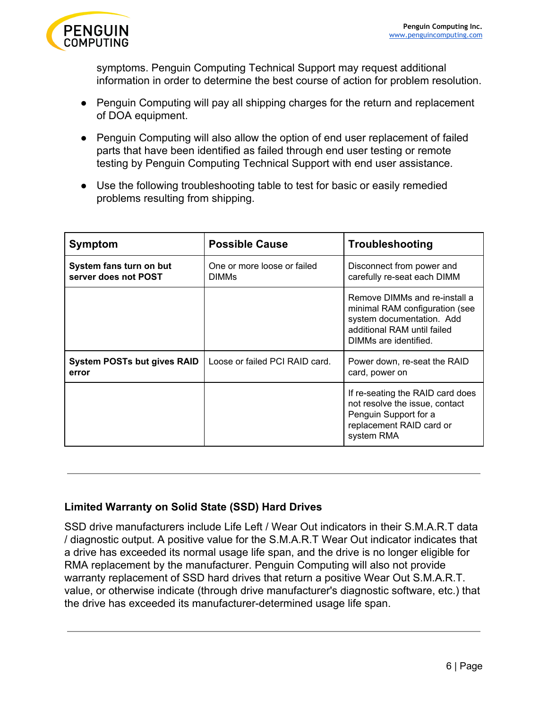

symptoms. Penguin Computing Technical Support may request additional information in order to determine the best course of action for problem resolution.

- Penguin Computing will pay all shipping charges for the return and replacement of DOA equipment.
- Penguin Computing will also allow the option of end user replacement of failed parts that have been identified as failed through end user testing or remote testing by Penguin Computing Technical Support with end user assistance.
- Use the following troubleshooting table to test for basic or easily remedied problems resulting from shipping.

| Symptom                                         | <b>Possible Cause</b>                       | Troubleshooting                                                                                                                                      |
|-------------------------------------------------|---------------------------------------------|------------------------------------------------------------------------------------------------------------------------------------------------------|
| System fans turn on but<br>server does not POST | One or more loose or failed<br><b>DIMMS</b> | Disconnect from power and<br>carefully re-seat each DIMM                                                                                             |
|                                                 |                                             | Remove DIMMs and re-install a<br>minimal RAM configuration (see<br>system documentation. Add<br>additional RAM until failed<br>DIMMs are identified. |
| System POSTs but gives RAID<br>error            | Loose or failed PCI RAID card.              | Power down, re-seat the RAID<br>card, power on                                                                                                       |
|                                                 |                                             | If re-seating the RAID card does<br>not resolve the issue, contact<br>Penguin Support for a<br>replacement RAID card or<br>system RMA                |

# **Limited Warranty on Solid State (SSD) Hard Drives**

SSD drive manufacturers include Life Left / Wear Out indicators in their S.M.A.R.T data / diagnostic output. A positive value for the S.M.A.R.T Wear Out indicator indicates that a drive has exceeded its normal usage life span, and the drive is no longer eligible for RMA replacement by the manufacturer. Penguin Computing will also not provide warranty replacement of SSD hard drives that return a positive Wear Out S.M.A.R.T. value, or otherwise indicate (through drive manufacturer's diagnostic software, etc.) that the drive has exceeded its manufacturer-determined usage life span.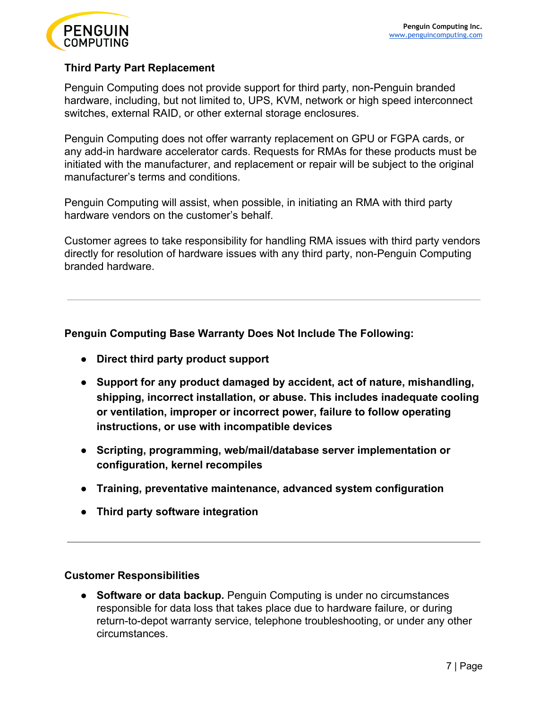

## **Third Party Part Replacement**

Penguin Computing does not provide support for third party, non-Penguin branded hardware, including, but not limited to, UPS, KVM, network or high speed interconnect switches, external RAID, or other external storage enclosures.

Penguin Computing does not offer warranty replacement on GPU or FGPA cards, or any add-in hardware accelerator cards. Requests for RMAs for these products must be initiated with the manufacturer, and replacement or repair will be subject to the original manufacturer's terms and conditions.

Penguin Computing will assist, when possible, in initiating an RMA with third party hardware vendors on the customer's behalf.

Customer agrees to take responsibility for handling RMA issues with third party vendors directly for resolution of hardware issues with any third party, non-Penguin Computing branded hardware.

#### **Penguin Computing Base Warranty Does Not Include The Following:**

- **● Direct third party product support**
- **● Support for any product damaged by accident, act of nature, mishandling, shipping, incorrect installation, or abuse. This includes inadequate cooling or ventilation, improper or incorrect power, failure to follow operating instructions, or use with incompatible devices**
- **● Scripting, programming, web/mail/database server implementation or configuration, kernel recompiles**
- **● Training, preventative maintenance, advanced system configuration**
- **● Third party software integration**

#### **Customer Responsibilities**

● **Software or data backup.** Penguin Computing is under no circumstances responsible for data loss that takes place due to hardware failure, or during return-to-depot warranty service, telephone troubleshooting, or under any other circumstances.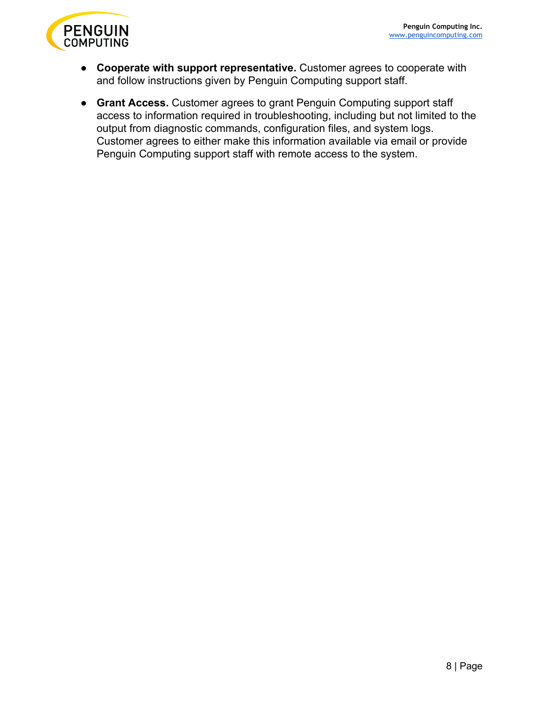

- **Cooperate with support representative.** Customer agrees to cooperate with and follow instructions given by Penguin Computing support staff.
- **Grant Access.** Customer agrees to grant Penguin Computing support staff access to information required in troubleshooting, including but not limited to the output from diagnostic commands, configuration files, and system logs. Customer agrees to either make this information available via email or provide Penguin Computing support staff with remote access to the system.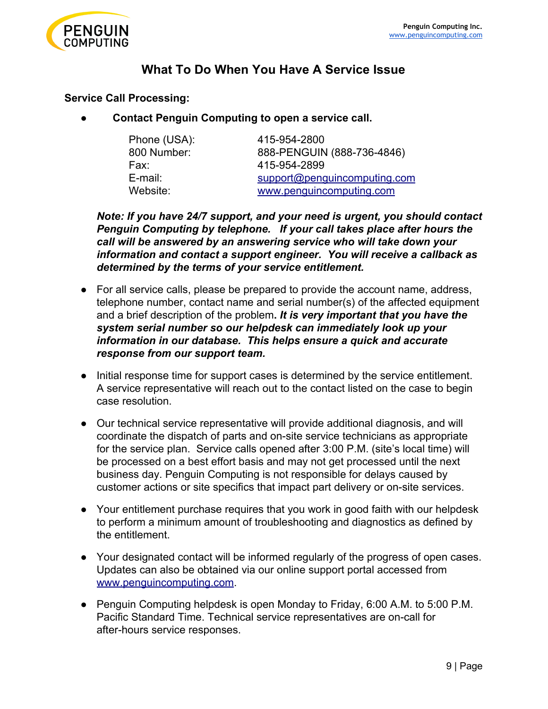

# **What To Do When You Have A Service Issue**

#### **Service Call Processing:**

● **Contact Penguin Computing to open a service call.**

| Phone (USA): | 415-954-2800                 |
|--------------|------------------------------|
| 800 Number:  | 888-PENGUIN (888-736-4846)   |
| Fax:         | 415-954-2899                 |
| E-mail:      | support@penguincomputing.com |
| Website:     | www.penguincomputing.com     |

*Note: [If](http://www.penguincomputing.com/support) you have 24/7 support, and your need is urgent, you should contact Penguin Computing by telephone. If your call takes place after hours the call will be answered by an answering service who will take down your information and contact a support engineer. You will receive a callback as determined by the terms of your service entitlement.*

- For all service calls, please be prepared to provide the account name, address, telephone number, contact name and serial number(s) of the affected equipment and a brief description of the problem**.** *It is very important that you have the system serial number so our helpdesk can immediately look up your information in our database. This helps ensure a quick and accurate response from our support team.*
- Initial response time for support cases is determined by the service entitlement. A service representative will reach out to the contact listed on the case to begin case resolution.
- Our technical service representative will provide additional diagnosis, and will coordinate the dispatch of parts and on-site service technicians as appropriate for the service plan. Service calls opened after 3:00 P.M. (site's local time) will be processed on a best effort basis and may not get processed until the next business day. Penguin Computing is not responsible for delays caused by customer actions or site specifics that impact part delivery or on-site services.
- Your entitlement purchase requires that you work in good faith with our helpdesk to perform a minimum amount of troubleshooting and diagnostics as defined by the entitlement.
- Your designated contact will be informed regularly of the progress of open cases. Updates can also be obtained via our online support portal accessed from [www.penguincomputing.com.](http://www.penguincomputing.com/)
- Penguin Computing helpdesk is open Monday to Friday, 6:00 A.M. to 5:00 P.M. Pacific Standard Time. Technical service representatives are on-call for after-hours service responses.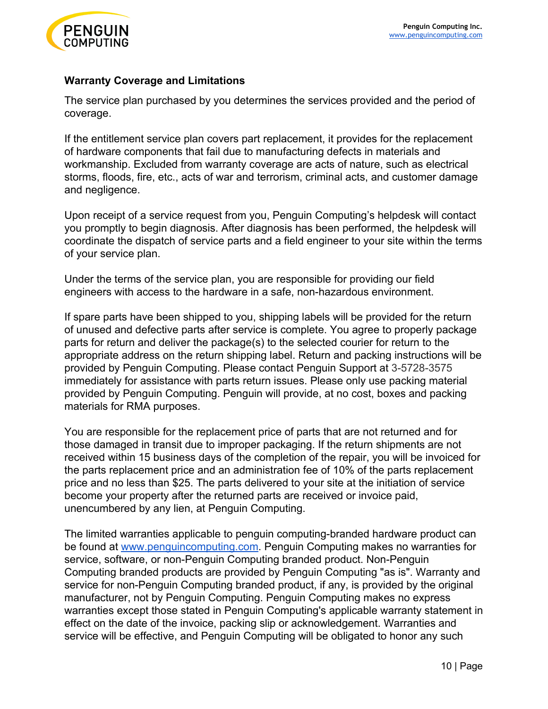

### **Warranty Coverage and Limitations**

The service plan purchased by you determines the services provided and the period of coverage.

If the entitlement service plan covers part replacement, it provides for the replacement of hardware components that fail due to manufacturing defects in materials and workmanship. Excluded from warranty coverage are acts of nature, such as electrical storms, floods, fire, etc., acts of war and terrorism, criminal acts, and customer damage and negligence.

Upon receipt of a service request from you, Penguin Computing's helpdesk will contact you promptly to begin diagnosis. After diagnosis has been performed, the helpdesk will coordinate the dispatch of service parts and a field engineer to your site within the terms of your service plan.

Under the terms of the service plan, you are responsible for providing our field engineers with access to the hardware in a safe, non-hazardous environment.

If spare parts have been shipped to you, shipping labels will be provided for the return of unused and defective parts after service is complete. You agree to properly package parts for return and deliver the package(s) to the selected courier for return to the appropriate address on the return shipping label. Return and packing instructions will be provided by Penguin Computing. Please contact Penguin Support at 3-5728-3575 immediately for assistance with parts return issues. Please only use packing material provided by Penguin Computing. Penguin will provide, at no cost, boxes and packing materials for RMA purposes.

You are responsible for the replacement price of parts that are not returned and for those damaged in transit due to improper packaging. If the return shipments are not received within 15 business days of the completion of the repair, you will be invoiced for the parts replacement price and an administration fee of 10% of the parts replacement price and no less than \$25. The parts delivered to your site at the initiation of service become your property after the returned parts are received or invoice paid, unencumbered by any lien, at Penguin Computing.

The limited warranties applicable to penguin computing-branded hardware product can be found at [www.penguincomputing.com.](http://www.penguincomputing.com/) Penguin Computing makes no warranties for service, software, or non-Penguin Computing branded product. Non-Penguin Computing branded products are provided by Penguin Computing "as is". Warranty and service for non-Penguin Computing branded product, if any, is provided by the original manufacturer, not by Penguin Computing. Penguin Computing makes no express warranties except those stated in Penguin Computing's applicable warranty statement in effect on the date of the invoice, packing slip or acknowledgement. Warranties and service will be effective, and Penguin Computing will be obligated to honor any such